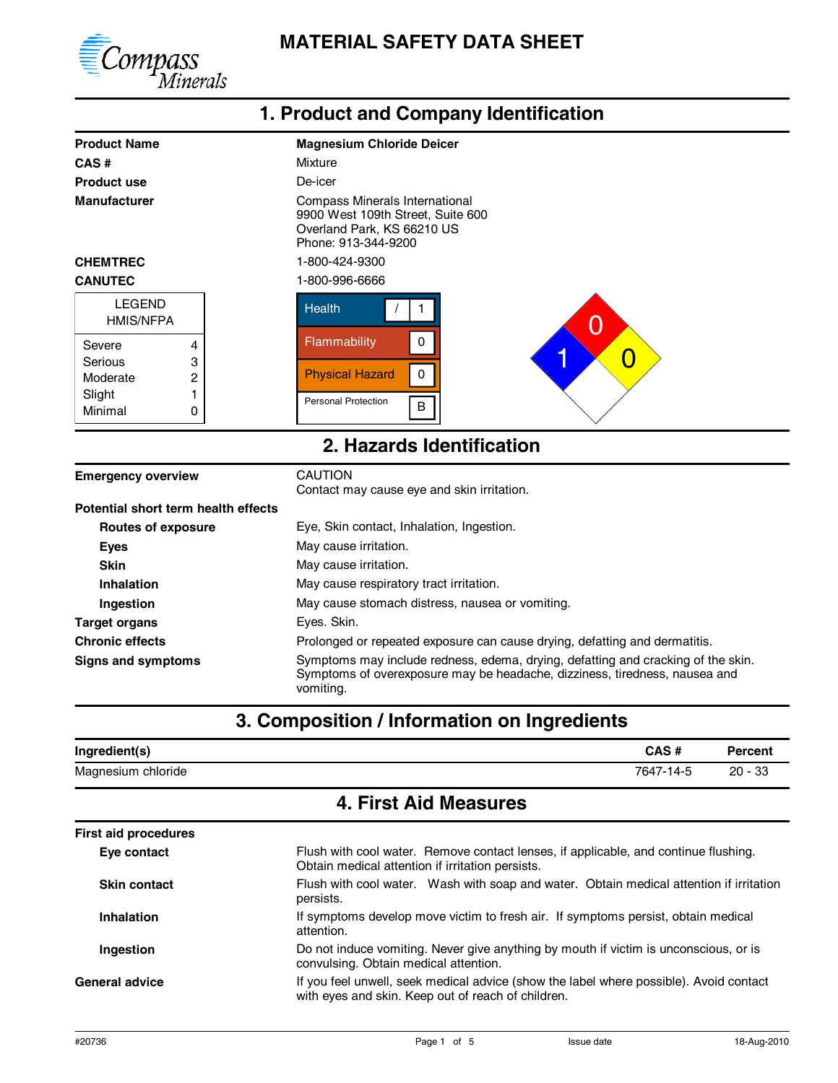

### **1. Product and Company Identification**

| <b>Product Name</b>                 | <b>Magnesium Chloride Deicer</b>                                                                                                                                            |  |  |  |
|-------------------------------------|-----------------------------------------------------------------------------------------------------------------------------------------------------------------------------|--|--|--|
| CAS#                                | Mixture                                                                                                                                                                     |  |  |  |
| <b>Product use</b>                  | De-icer                                                                                                                                                                     |  |  |  |
| <b>Manufacturer</b>                 | Compass Minerals International<br>9900 West 109th Street, Suite 600<br>Overland Park, KS 66210 US<br>Phone: 913-344-9200                                                    |  |  |  |
| <b>CHEMTREC</b>                     | 1-800-424-9300                                                                                                                                                              |  |  |  |
| <b>CANUTEC</b>                      | 1-800-996-6666                                                                                                                                                              |  |  |  |
| <b>LEGEND</b><br><b>HMIS/NFPA</b>   | <b>Health</b><br>1<br>Ω                                                                                                                                                     |  |  |  |
| Severe<br>4                         | Flammability<br>0                                                                                                                                                           |  |  |  |
| 3<br>Serious                        | O                                                                                                                                                                           |  |  |  |
| 2<br>Moderate                       | $\pmb{0}$<br><b>Physical Hazard</b>                                                                                                                                         |  |  |  |
| 1<br>Slight                         | <b>Personal Protection</b>                                                                                                                                                  |  |  |  |
| Minimal<br>0                        | $\sf B$                                                                                                                                                                     |  |  |  |
|                                     | 2. Hazards Identification                                                                                                                                                   |  |  |  |
| <b>Emergency overview</b>           | <b>CAUTION</b><br>Contact may cause eye and skin irritation.                                                                                                                |  |  |  |
| Potential short term health effects |                                                                                                                                                                             |  |  |  |
| <b>Routes of exposure</b>           | Eye, Skin contact, Inhalation, Ingestion.                                                                                                                                   |  |  |  |
| <b>Eyes</b>                         | May cause irritation.                                                                                                                                                       |  |  |  |
| <b>Skin</b>                         | May cause irritation.                                                                                                                                                       |  |  |  |
| Inhalation                          | May cause respiratory tract irritation.                                                                                                                                     |  |  |  |
| Ingestion                           | May cause stomach distress, nausea or vomiting.                                                                                                                             |  |  |  |
| <b>Target organs</b>                | Eyes. Skin.                                                                                                                                                                 |  |  |  |
| <b>Chronic effects</b>              | Prolonged or repeated exposure can cause drying, defatting and dermatitis.                                                                                                  |  |  |  |
| <b>Signs and symptoms</b>           | Symptoms may include redness, edema, drying, defatting and cracking of the skin.<br>Symptoms of overexposure may be headache, dizziness, tiredness, nausea and<br>vomiting. |  |  |  |
|                                     | 3. Composition / Information on Ingredients                                                                                                                                 |  |  |  |

| Ingredient(s)         | CAS#      | Percent       |
|-----------------------|-----------|---------------|
| Magnesium<br>chloride | 7647-14-5 | -33<br>$20 -$ |

## **4. First Aid Measures**

| <b>First aid procedures</b> |                                                                                                                                              |  |
|-----------------------------|----------------------------------------------------------------------------------------------------------------------------------------------|--|
| Eye contact                 | Flush with cool water. Remove contact lenses, if applicable, and continue flushing.<br>Obtain medical attention if irritation persists.      |  |
| <b>Skin contact</b>         | Flush with cool water. Wash with soap and water. Obtain medical attention if irritation<br>persists.                                         |  |
| <b>Inhalation</b>           | If symptoms develop move victim to fresh air. If symptoms persist, obtain medical<br>attention.                                              |  |
| Ingestion                   | Do not induce vomiting. Never give anything by mouth if victim is unconscious, or is<br>convulsing. Obtain medical attention.                |  |
| <b>General advice</b>       | If you feel unwell, seek medical advice (show the label where possible). Avoid contact<br>with eyes and skin. Keep out of reach of children. |  |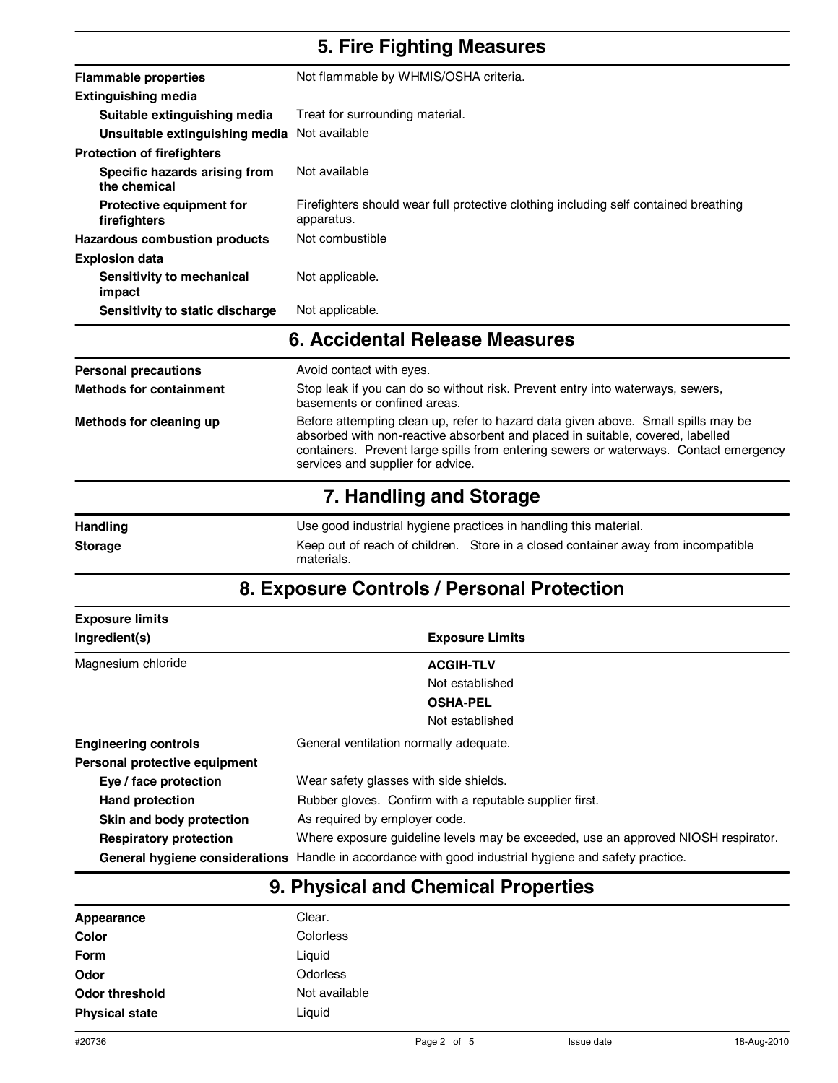### **5. Fire Fighting Measures**

| <b>Flammable properties</b>                     | Not flammable by WHMIS/OSHA criteria.                                                              |  |  |
|-------------------------------------------------|----------------------------------------------------------------------------------------------------|--|--|
| <b>Extinguishing media</b>                      |                                                                                                    |  |  |
| Suitable extinguishing media                    | Treat for surrounding material.                                                                    |  |  |
| Unsuitable extinguishing media                  | Not available                                                                                      |  |  |
| <b>Protection of firefighters</b>               |                                                                                                    |  |  |
| Specific hazards arising from<br>the chemical   | Not available                                                                                      |  |  |
| <b>Protective equipment for</b><br>firefighters | Firefighters should wear full protective clothing including self contained breathing<br>apparatus. |  |  |
| Hazardous combustion products                   | Not combustible                                                                                    |  |  |
| <b>Explosion data</b>                           |                                                                                                    |  |  |
| Sensitivity to mechanical<br>impact             | Not applicable.                                                                                    |  |  |
| Sensitivity to static discharge                 | Not applicable.                                                                                    |  |  |
|                                                 | <b>6. Accidental Release Measures</b>                                                              |  |  |
| Dorconal processions                            | Avoid contact with ever                                                                            |  |  |

| <b>Personal precautions</b>    | Avoid contact with eyes.                                                                                                                                                                                                                                                                          |
|--------------------------------|---------------------------------------------------------------------------------------------------------------------------------------------------------------------------------------------------------------------------------------------------------------------------------------------------|
| <b>Methods for containment</b> | Stop leak if you can do so without risk. Prevent entry into waterways, sewers,<br>basements or confined areas.                                                                                                                                                                                    |
| Methods for cleaning up        | Before attempting clean up, refer to hazard data given above. Small spills may be<br>absorbed with non-reactive absorbent and placed in suitable, covered, labelled<br>containers. Prevent large spills from entering sewers or waterways. Contact emergency<br>services and supplier for advice. |
|                                |                                                                                                                                                                                                                                                                                                   |

#### **7. Handling and Storage**

| <b>Handling</b> | Use good industrial hygiene practices in handling this material. |                                                                                   |
|-----------------|------------------------------------------------------------------|-----------------------------------------------------------------------------------|
| <b>Storage</b>  | materials.                                                       | Keep out of reach of children. Store in a closed container away from incompatible |

## **8. Exposure Controls / Personal Protection**

| <b>Exposure limits</b>        |                                                                                                       |  |
|-------------------------------|-------------------------------------------------------------------------------------------------------|--|
| Ingredient(s)                 | <b>Exposure Limits</b>                                                                                |  |
| Magnesium chloride            | <b>ACGIH-TLV</b>                                                                                      |  |
|                               | Not established                                                                                       |  |
|                               | <b>OSHA-PEL</b>                                                                                       |  |
|                               | Not established                                                                                       |  |
| <b>Engineering controls</b>   | General ventilation normally adequate.                                                                |  |
| Personal protective equipment |                                                                                                       |  |
| Eye / face protection         | Wear safety glasses with side shields.                                                                |  |
| <b>Hand protection</b>        | Rubber gloves. Confirm with a reputable supplier first.                                               |  |
| Skin and body protection      | As required by employer code.                                                                         |  |
| <b>Respiratory protection</b> | Where exposure guideline levels may be exceeded, use an approved NIOSH respirator.                    |  |
|                               | General hygiene considerations Handle in accordance with good industrial hygiene and safety practice. |  |

## **9. Physical and Chemical Properties**

| Appearance            | Clear.        |
|-----------------------|---------------|
| Color                 | Colorless     |
| <b>Form</b>           | Liquid        |
| Odor                  | Odorless      |
| Odor threshold        | Not available |
| <b>Physical state</b> | Liguid        |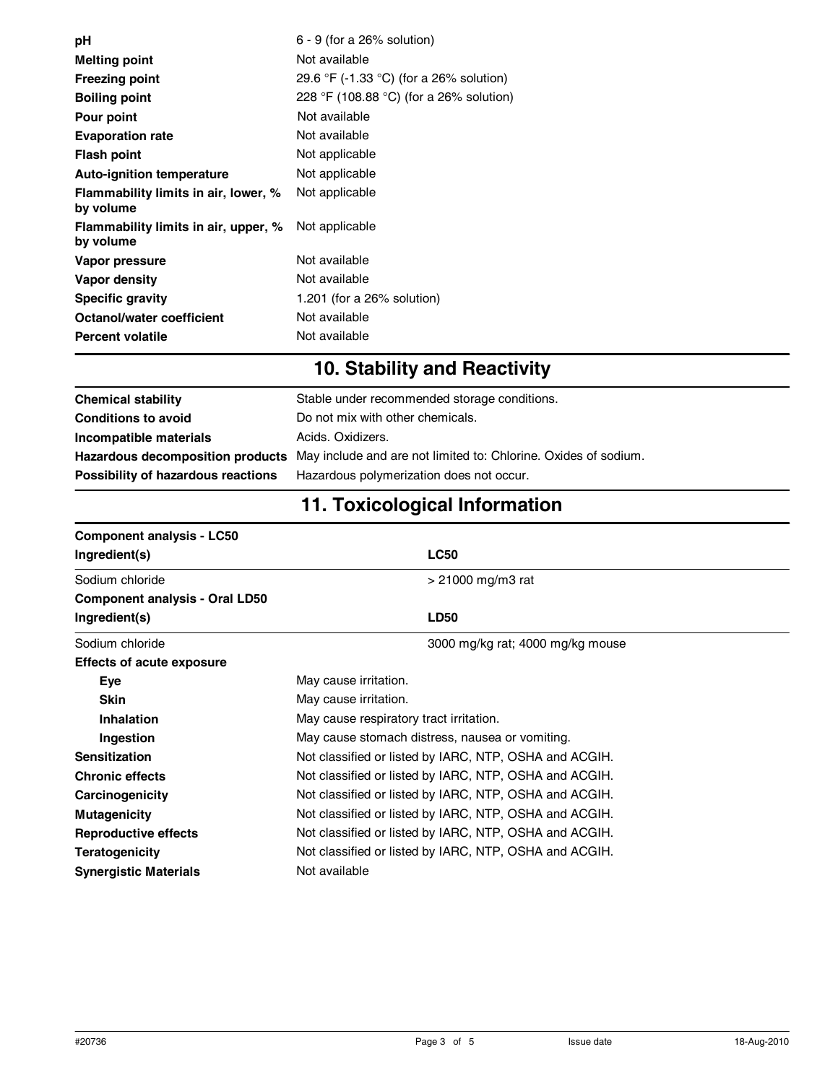| рH                                                | $6 - 9$ (for a 26% solution)            |
|---------------------------------------------------|-----------------------------------------|
|                                                   |                                         |
| <b>Melting point</b>                              | Not available                           |
| <b>Freezing point</b>                             | 29.6 °F (-1.33 °C) (for a 26% solution) |
| <b>Boiling point</b>                              | 228 °F (108.88 °C) (for a 26% solution) |
| Pour point                                        | Not available                           |
| <b>Evaporation rate</b>                           | Not available                           |
| <b>Flash point</b>                                | Not applicable                          |
| <b>Auto-ignition temperature</b>                  | Not applicable                          |
| Flammability limits in air, lower, %<br>by volume | Not applicable                          |
| Flammability limits in air, upper, %<br>by volume | Not applicable                          |
| Vapor pressure                                    | Not available                           |
| Vapor density                                     | Not available                           |
| <b>Specific gravity</b>                           | 1.201 (for a $26\%$ solution)           |
| Octanol/water coefficient                         | Not available                           |
| <b>Percent volatile</b>                           | Not available                           |
|                                                   |                                         |

# **10. Stability and Reactivity**

| <b>Chemical stability</b>          | Stable under recommended storage conditions.                                                     |
|------------------------------------|--------------------------------------------------------------------------------------------------|
| <b>Conditions to avoid</b>         | Do not mix with other chemicals.                                                                 |
| Incompatible materials             | Acids, Oxidizers,                                                                                |
|                                    | Hazardous decomposition products May include and are not limited to: Chlorine. Oxides of sodium. |
| Possibility of hazardous reactions | Hazardous polymerization does not occur.                                                         |

# **11. Toxicological Information**

| <b>Component analysis - LC50</b> |                                                        |  |  |
|----------------------------------|--------------------------------------------------------|--|--|
| Ingredient(s)                    | <b>LC50</b>                                            |  |  |
| Sodium chloride                  | $> 21000$ mg/m3 rat                                    |  |  |
| Component analysis - Oral LD50   |                                                        |  |  |
| Ingredient(s)                    | <b>LD50</b>                                            |  |  |
| Sodium chloride                  | 3000 mg/kg rat; 4000 mg/kg mouse                       |  |  |
| <b>Effects of acute exposure</b> |                                                        |  |  |
| <b>Eye</b>                       | May cause irritation.                                  |  |  |
| <b>Skin</b>                      | May cause irritation.                                  |  |  |
| Inhalation                       | May cause respiratory tract irritation.                |  |  |
| Ingestion                        | May cause stomach distress, nausea or vomiting.        |  |  |
| <b>Sensitization</b>             | Not classified or listed by IARC, NTP, OSHA and ACGIH. |  |  |
| <b>Chronic effects</b>           | Not classified or listed by IARC, NTP, OSHA and ACGIH. |  |  |
| Carcinogenicity                  | Not classified or listed by IARC, NTP, OSHA and ACGIH. |  |  |
| <b>Mutagenicity</b>              | Not classified or listed by IARC, NTP, OSHA and ACGIH. |  |  |
| <b>Reproductive effects</b>      | Not classified or listed by IARC, NTP, OSHA and ACGIH. |  |  |
| <b>Teratogenicity</b>            | Not classified or listed by IARC, NTP, OSHA and ACGIH. |  |  |
| <b>Synergistic Materials</b>     | Not available                                          |  |  |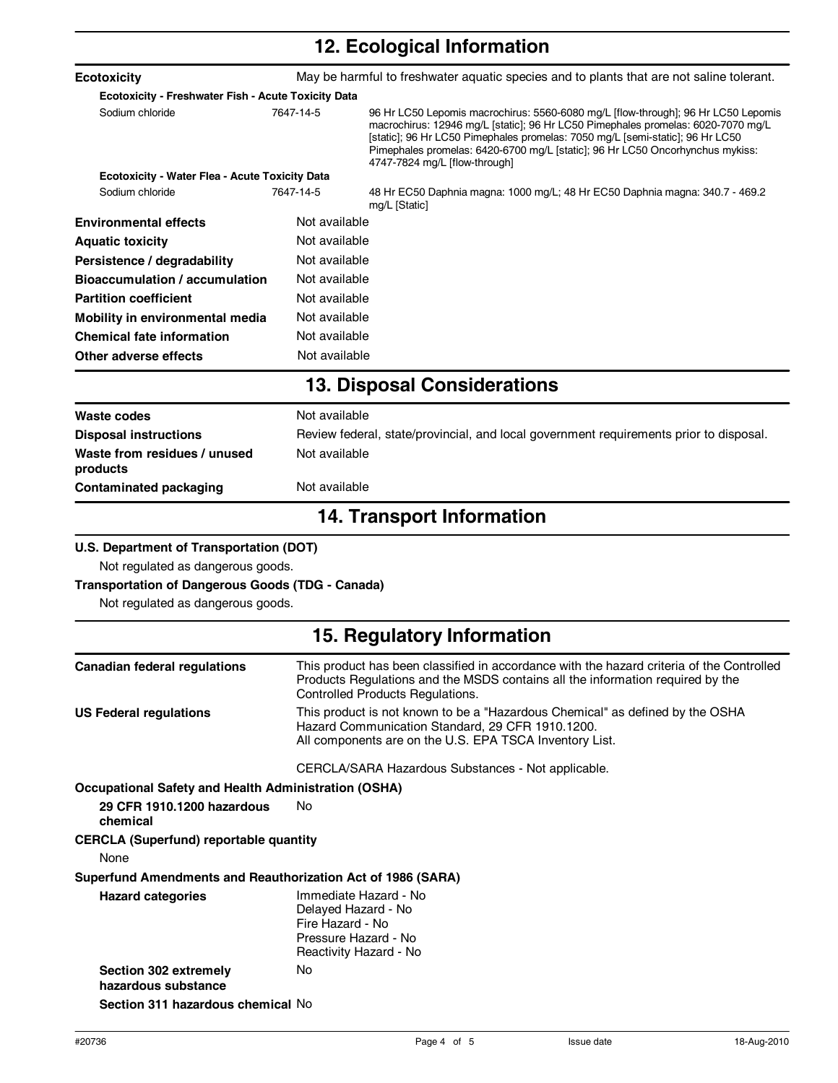# **12. Ecological Information**

| <b>Ecotoxicity</b>                                          |                                                                                                                    | May be harmful to freshwater aquatic species and to plants that are not saline tolerant.                                                                                                                                                                                                                                                                                 |
|-------------------------------------------------------------|--------------------------------------------------------------------------------------------------------------------|--------------------------------------------------------------------------------------------------------------------------------------------------------------------------------------------------------------------------------------------------------------------------------------------------------------------------------------------------------------------------|
| Ecotoxicity - Freshwater Fish - Acute Toxicity Data         |                                                                                                                    |                                                                                                                                                                                                                                                                                                                                                                          |
| Sodium chloride                                             | 7647-14-5                                                                                                          | 96 Hr LC50 Lepomis macrochirus: 5560-6080 mg/L [flow-through]; 96 Hr LC50 Lepomis<br>macrochirus: 12946 mg/L [static]; 96 Hr LC50 Pimephales promelas: 6020-7070 mg/L<br>[static]; 96 Hr LC50 Pimephales promelas: 7050 mg/L [semi-static]; 96 Hr LC50<br>Pimephales promelas: 6420-6700 mg/L [static]; 96 Hr LC50 Oncorhynchus mykiss:<br>4747-7824 mg/L [flow-through] |
| <b>Ecotoxicity - Water Flea - Acute Toxicity Data</b>       |                                                                                                                    |                                                                                                                                                                                                                                                                                                                                                                          |
| Sodium chloride                                             | 7647-14-5                                                                                                          | 48 Hr EC50 Daphnia magna: 1000 mg/L; 48 Hr EC50 Daphnia magna: 340.7 - 469.2<br>mg/L [Static]                                                                                                                                                                                                                                                                            |
| <b>Environmental effects</b>                                | Not available                                                                                                      |                                                                                                                                                                                                                                                                                                                                                                          |
| <b>Aquatic toxicity</b>                                     | Not available                                                                                                      |                                                                                                                                                                                                                                                                                                                                                                          |
| Persistence / degradability                                 | Not available                                                                                                      |                                                                                                                                                                                                                                                                                                                                                                          |
| <b>Bioaccumulation / accumulation</b>                       | Not available                                                                                                      |                                                                                                                                                                                                                                                                                                                                                                          |
| <b>Partition coefficient</b>                                | Not available                                                                                                      |                                                                                                                                                                                                                                                                                                                                                                          |
| Mobility in environmental media                             | Not available                                                                                                      |                                                                                                                                                                                                                                                                                                                                                                          |
| <b>Chemical fate information</b>                            | Not available                                                                                                      |                                                                                                                                                                                                                                                                                                                                                                          |
| Other adverse effects                                       | Not available                                                                                                      |                                                                                                                                                                                                                                                                                                                                                                          |
|                                                             |                                                                                                                    | <b>13. Disposal Considerations</b>                                                                                                                                                                                                                                                                                                                                       |
| Waste codes                                                 | Not available                                                                                                      |                                                                                                                                                                                                                                                                                                                                                                          |
| <b>Disposal instructions</b>                                |                                                                                                                    | Review federal, state/provincial, and local government requirements prior to disposal.                                                                                                                                                                                                                                                                                   |
| Waste from residues / unused<br>products                    | Not available                                                                                                      |                                                                                                                                                                                                                                                                                                                                                                          |
| <b>Contaminated packaging</b>                               | Not available                                                                                                      |                                                                                                                                                                                                                                                                                                                                                                          |
|                                                             |                                                                                                                    | <b>14. Transport Information</b>                                                                                                                                                                                                                                                                                                                                         |
| U.S. Department of Transportation (DOT)                     |                                                                                                                    |                                                                                                                                                                                                                                                                                                                                                                          |
| Not regulated as dangerous goods.                           |                                                                                                                    |                                                                                                                                                                                                                                                                                                                                                                          |
| <b>Transportation of Dangerous Goods (TDG - Canada)</b>     |                                                                                                                    |                                                                                                                                                                                                                                                                                                                                                                          |
| Not regulated as dangerous goods.                           |                                                                                                                    |                                                                                                                                                                                                                                                                                                                                                                          |
|                                                             |                                                                                                                    | 15. Regulatory Information                                                                                                                                                                                                                                                                                                                                               |
| <b>Canadian federal regulations</b>                         |                                                                                                                    | This product has been classified in accordance with the hazard criteria of the Controlled<br>Products Regulations and the MSDS contains all the information required by the<br>Controlled Products Regulations.                                                                                                                                                          |
| <b>US Federal regulations</b>                               |                                                                                                                    | This product is not known to be a "Hazardous Chemical" as defined by the OSHA<br>Hazard Communication Standard, 29 CFR 1910.1200.<br>All components are on the U.S. EPA TSCA Inventory List.                                                                                                                                                                             |
|                                                             |                                                                                                                    | CERCLA/SARA Hazardous Substances - Not applicable.                                                                                                                                                                                                                                                                                                                       |
| <b>Occupational Safety and Health Administration (OSHA)</b> |                                                                                                                    |                                                                                                                                                                                                                                                                                                                                                                          |
| 29 CFR 1910.1200 hazardous<br>chemical                      | No                                                                                                                 |                                                                                                                                                                                                                                                                                                                                                                          |
| <b>CERCLA (Superfund) reportable quantity</b><br>None       |                                                                                                                    |                                                                                                                                                                                                                                                                                                                                                                          |
| Superfund Amendments and Reauthorization Act of 1986 (SARA) |                                                                                                                    |                                                                                                                                                                                                                                                                                                                                                                          |
| <b>Hazard categories</b>                                    | Immediate Hazard - No<br>Delayed Hazard - No<br>Fire Hazard - No<br>Pressure Hazard - No<br>Reactivity Hazard - No |                                                                                                                                                                                                                                                                                                                                                                          |
| Section 302 extremely<br>hazardous substance                | No                                                                                                                 |                                                                                                                                                                                                                                                                                                                                                                          |
| Section 311 hazardous chemical No                           |                                                                                                                    |                                                                                                                                                                                                                                                                                                                                                                          |